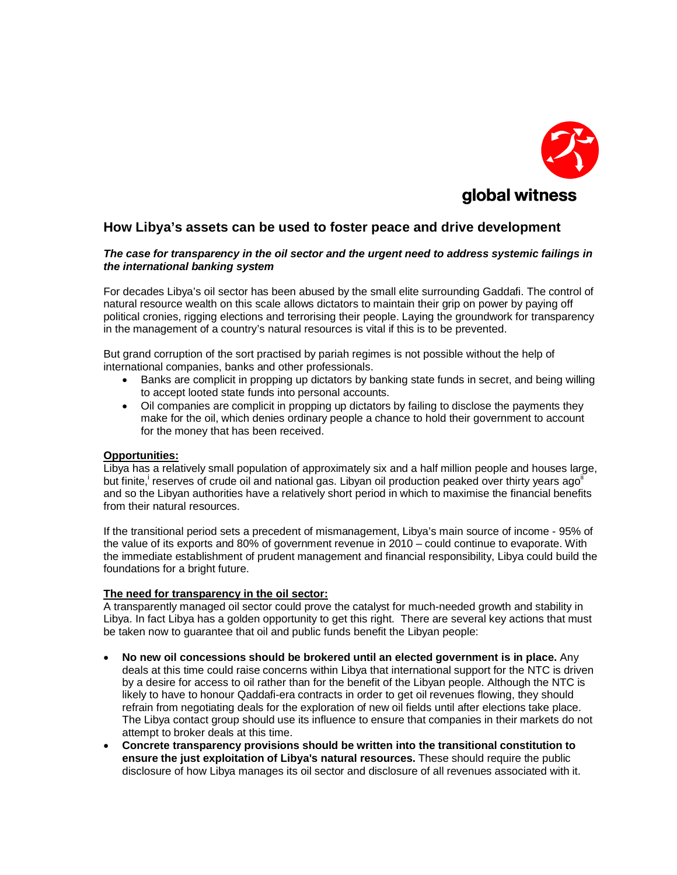

# **How Libya's assets can be used to foster peace and drive development**

#### *The case for transparency in the oil sector and the urgent need to address systemic failings in the international banking system*

For decades Libya's oil sector has been abused by the small elite surrounding Gaddafi. The control of natural resource wealth on this scale allows dictators to maintain their grip on power by paying off political cronies, rigging elections and terrorising their people. Laying the groundwork for transparency in the management of a country's natural resources is vital if this is to be prevented.

But grand corruption of the sort practised by pariah regimes is not possible without the help of international companies, banks and other professionals.

- Banks are complicit in propping up dictators by banking state funds in secret, and being willing to accept looted state funds into personal accounts.
- Oil companies are complicit in propping up dictators by failing to disclose the payments they make for the oil, which denies ordinary people a chance to hold their government to account for the money that has been received.

## **Opportunities:**

Libya has a relatively small population of approximately six and a half million people and houses large, but finite, reserves of crude oil and national gas. Libyan oil production peaked over thirty years ago<sup>ii</sup> and so the Libyan authorities have a relatively short period in which to maximise the financial benefits from their natural resources.

If the transitional period sets a precedent of mismanagement, Libya's main source of income - 95% of the value of its exports and 80% of government revenue in 2010 – could continue to evaporate. With the immediate establishment of prudent management and financial responsibility, Libya could build the foundations for a bright future.

#### **The need for transparency in the oil sector:**

A transparently managed oil sector could prove the catalyst for much-needed growth and stability in Libya. In fact Libya has a golden opportunity to get this right. There are several key actions that must be taken now to guarantee that oil and public funds benefit the Libyan people:

- **No new oil concessions should be brokered until an elected government is in place.** Any deals at this time could raise concerns within Libya that international support for the NTC is driven by a desire for access to oil rather than for the benefit of the Libyan people. Although the NTC is likely to have to honour Qaddafi-era contracts in order to get oil revenues flowing, they should refrain from negotiating deals for the exploration of new oil fields until after elections take place. The Libya contact group should use its influence to ensure that companies in their markets do not attempt to broker deals at this time.
- **Concrete transparency provisions should be written into the transitional constitution to ensure the just exploitation of Libya's natural resources.** These should require the public disclosure of how Libya manages its oil sector and disclosure of all revenues associated with it.